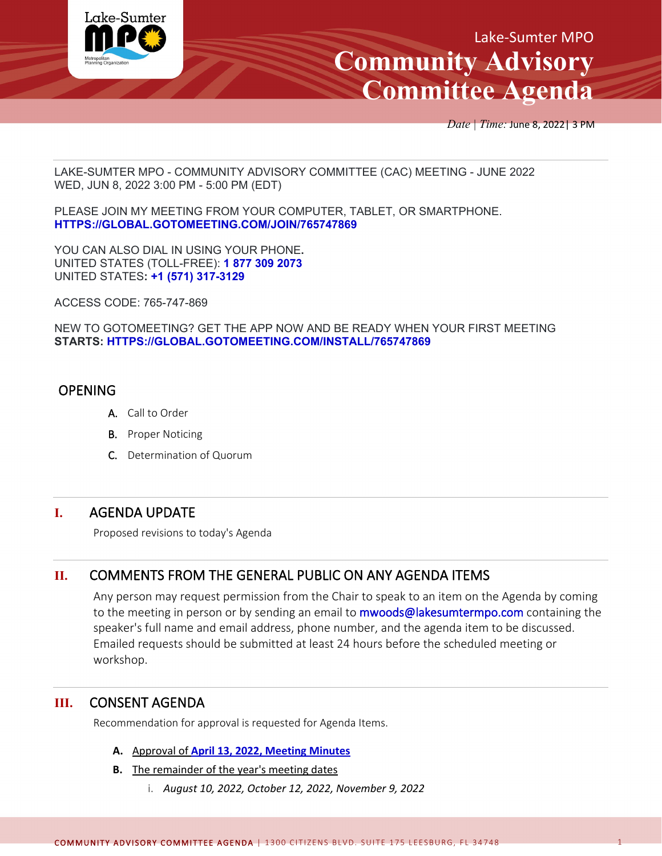

*Date | Time:* June 8, 2022| 3 PM

LAKE-SUMTER MPO - COMMUNITY ADVISORY COMMITTEE (CAC) MEETING - JUNE 2022 WED, JUN 8, 2022 3:00 PM - 5:00 PM (EDT)

PLEASE JOIN MY MEETING FROM YOUR COMPUTER, TABLET, OR SMARTPHONE. **[HTTPS://GLOBAL.GOTOMEETING.COM/JOIN/765747869](https://global.gotomeeting.com/join/765747869)**

YOU CAN ALSO DIAL IN USING YOUR PHONE**.** UNITED STATES (TOLL-FREE): **[1 877 309 2073](tel:+18773092073,,765747869)** UNITED STATES**: [+1 \(571\) 317-3129](tel:+15713173129,,765747869)**

ACCESS CODE: 765-747-869

NEW TO GOTOMEETING? GET THE APP NOW AND BE READY WHEN YOUR FIRST MEETING **STARTS: [HTTPS://GLOBAL.GOTOMEETING.COM/INSTALL/765747869](https://global.gotomeeting.com/install/765747869)**

## OPENING

- A. Call to Order
- **B.** Proper Noticing
- C. Determination of Quorum

## **I.** AGENDA UPDATE

Proposed revisions to today's Agenda

## **II.** COMMENTS FROM THE GENERAL PUBLIC ON ANY AGENDA ITEMS

Any person may request permission from the Chair to speak to an item on the Agenda by coming to the meeting in person or by sending an email to **mwoods@lakesumtermpo.com** containing the speaker's full name and email address, phone number, and the agenda item to be discussed. Emailed requests should be submitted at least 24 hours before the scheduled meeting or workshop.

## **III.** CONSENT AGENDA

Recommendation for approval is requested for Agenda Items.

- **A.** Approval of **April 13, 2022, [Meeting Minutes](http://www.lakesumtermpo.com/media/xnwhrd3p/april-13-2022-cac-minutes.pdf)**
- **B.** The remainder of the year's meeting dates
	- i. *August 10, 2022, October 12, 2022, November 9, 2022*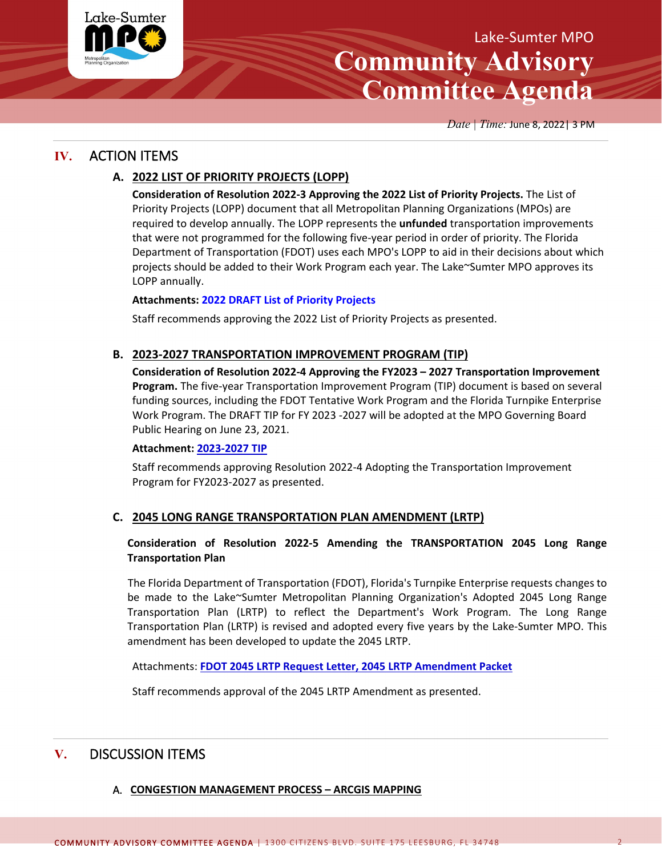

# Lake-Sumter MPO **Community Advisory Committee Agenda**

*Date | Time:* June 8, 2022| 3 PM

## **IV.** ACTION ITEMS

### **A. 2022 LIST OF PRIORITY PROJECTS (LOPP)**

**Consideration of Resolution 2022-3 Approving the 2022 List of Priority Projects.** The List of Priority Projects (LOPP) document that all Metropolitan Planning Organizations (MPOs) are required to develop annually. The LOPP represents the **unfunded** transportation improvements that were not programmed for the following five-year period in order of priority. The Florida Department of Transportation (FDOT) uses each MPO's LOPP to aid in their decisions about which projects should be added to their Work Program each year. The Lake~Sumter MPO approves its LOPP annually.

#### **Attachments: 2022 [DRAFT List of Priority Projects](http://www.lakesumtermpo.com/media/f32bmcpz/2022-lsmpo-lopp_final-draft_june-committee-agenda_06-01-2022.pdf)**

Staff recommends approving the 2022 List of Priority Projects as presented.

#### **B. 2023-2027 TRANSPORTATION IMPROVEMENT PROGRAM (TIP)**

**Consideration of Resolution 2022-4 Approving the FY2023 – 2027 Transportation Improvement Program.** The five-year Transportation Improvement Program (TIP) document is based on several funding sources, including the FDOT Tentative Work Program and the Florida Turnpike Enterprise Work Program. The DRAFT TIP for FY 2023 -2027 will be adopted at the MPO Governing Board Public Hearing on June 23, 2021.

#### **Attachment: [2023-2027 TIP](http://www.lakesumtermpo.com/media/0ysgi5ja/lsmpo2022tipreportjune012022-1.pdf)**

Staff recommends approving Resolution 2022-4 Adopting the Transportation Improvement Program for FY2023-2027 as presented.

#### **C. 2045 LONG RANGE TRANSPORTATION PLAN AMENDMENT (LRTP)**

#### **Consideration of Resolution 2022-5 Amending the TRANSPORTATION 2045 Long Range Transportation Plan**

 The Florida Department of Transportation (FDOT), Florida's Turnpike Enterprise requests changes to be made to the Lake~Sumter Metropolitan Planning Organization's Adopted 2045 Long Range Transportation Plan (LRTP) to reflect the Department's Work Program. The Long Range Transportation Plan (LRTP) is revised and adopted every five years by the Lake-Sumter MPO. This amendment has been developed to update the 2045 LRTP.

Attachments: **[FDOT 2045 LRTP Request Letter,](http://www.lakesumtermpo.com/media/kwzf0tge/2022-06-fte-lrtp-amendment-request.pdf) [2045 LRTP Amendment](http://www.lakesumtermpo.com/media/zael0zus/lsmpo_2045-lrtp_amendment_june-2022_agenda.pdf) Packet**

Staff recommends approval of the 2045 LRTP Amendment as presented.

# **V.** DISCUSSION ITEMS

#### A. **CONGESTION MANAGEMENT PROCESS – ARCGIS MAPPING**